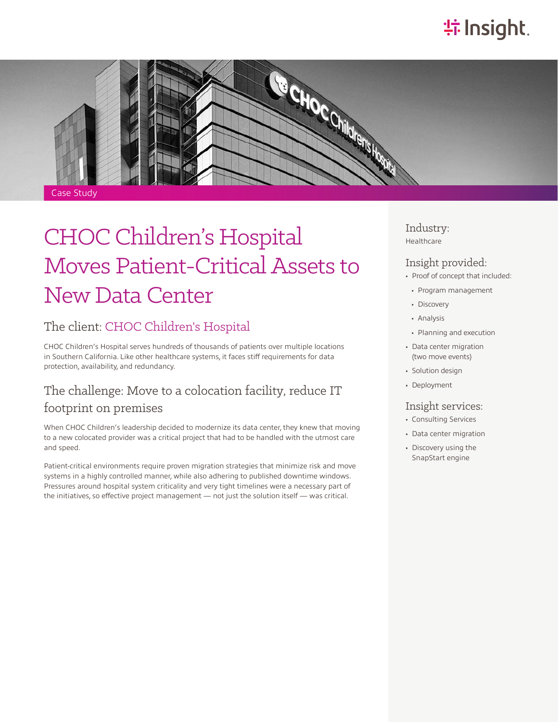# **特Insight**.



# CHOC Children's Hospital Moves Patient-Critical Assets to New Data Center

#### The client: [CHOC Children's Hospital](https://www.choc.org/)

CHOC Children's Hospital serves hundreds of thousands of patients over multiple locations in Southern California. Like other healthcare systems, it faces stiff requirements for data protection, availability, and redundancy.

## The challenge: Move to a colocation facility, reduce IT footprint on premises

When CHOC Children's leadership decided to modernize its data center, they knew that moving to a new colocated provider was a critical project that had to be handled with the utmost care and speed.

Patient-critical environments require proven migration strategies that minimize risk and move systems in a highly controlled manner, while also adhering to published downtime windows. Pressures around hospital system criticality and very tight timelines were a necessary part of the initiatives, so effective project management — not just the solution itself — was critical.

Industry: Healthcare

#### Insight provided:

- Proof of concept that included:
- Program management
- Discovery
- Analysis
- Planning and execution
- Data center migration (two move events)
- Solution design
- Deployment

#### Insight services:

- Consulting Services
- Data center migration
- Discovery using the SnapStart engine